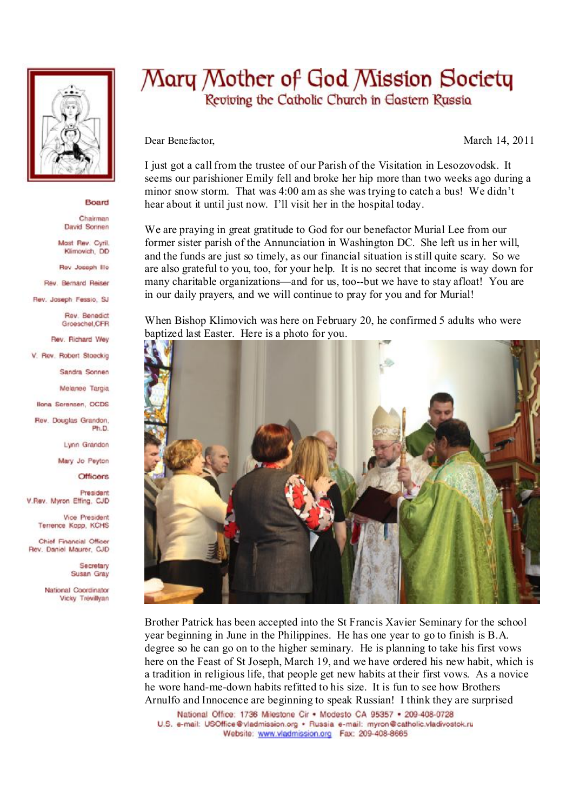

## Board

Chairman David Sonnen

Mast Rev. Cyril. Klimovich, DD

Rev Joseph Illo

Rev. Bernard Reiser

Rev. Joseph Fessio, SJ

Rev. Benedict Groeschel, CFR

Rev. Richard Wey

V. Rev. Robert Stoeckig

Sandra Sonnen

Melanee Targia

**Ilona Sorensen, OCDS** 

Rev. Douglas Grandon. Ph.D

Lynn Grandon

Mary Jo Peyton

**Officers** 

President V.Rev. Myron Effing, CJD

> Vice President Terrence Kopp, KCHS

Chief Financial Officer Rev. Daniel Maurer, CJD

> Secretary Susan Gray

National Coordinator Vicky Trevillvan

## Mary Mother of God Mission Society Reviving the Catholic Church in Eastern Russia

Dear Benefactor,

March 14, 2011

I just got a call from the trustee of our Parish of the Visitation in Lesozovodsk. It seems our parishioner Emily fell and broke her hip more than two weeks ago during a minor snow storm. That was 4:00 am as she was trying to catch a bus! We didn't hear about it until just now. I'll visit her in the hospital today.

We are praving in great gratitude to God for our benefactor Murial Lee from our former sister parish of the Annunciation in Washington DC. She left us in her will, and the funds are just so timely, as our financial situation is still quite scary. So we are also grateful to you, too, for your help. It is no secret that income is way down for many charitable organizations—and for us, too--but we have to stay afloat! You are in our daily prayers, and we will continue to pray for you and for Murial!

When Bishop Klimovich was here on February 20, he confirmed 5 adults who were baptized last Easter. Here is a photo for you.



Brother Patrick has been accepted into the St Francis Xavier Seminary for the school year beginning in June in the Philippines. He has one year to go to finish is B.A. degree so he can go on to the higher seminary. He is planning to take his first yows here on the Feast of St Joseph, March 19, and we have ordered his new habit, which is a tradition in religious life, that people get new habits at their first vows. As a novice he wore hand-me-down habits refitted to his size. It is fun to see how Brothers Arnulfo and Innocence are beginning to speak Russian! I think they are surprised

National Office: 1736 Milestone Cir . Modesto CA 95357 . 209-408-0728 U.S. e-mail: USOffice@vladmission.org · Russia e-mail: myron@catholic.vladivostok.ru Website: www.vladmission.org Fax: 209-408-8665